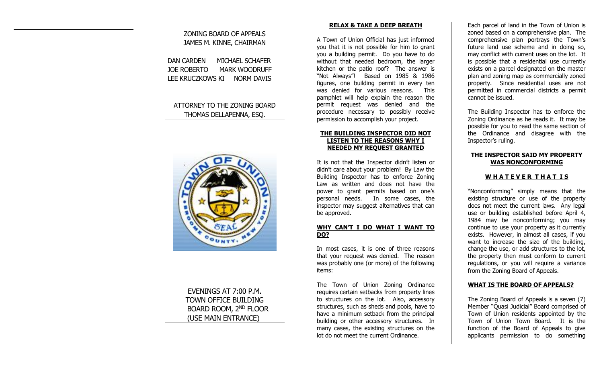# ZONING BOARD OF APPEALS JAMES M. KINNE, CHAIRMAN DAN CARDEN MICHAEL SCHAFER JOE ROBERTO MARK WOODRUFF LEE KRUCZKOWS KI NORM DAVIS

# ATTORNEY TO THE ZONING BOARD THOMAS DELLAPENNA, ESQ.



# EVENINGS AT 7:00 P.M. TOWN OFFICE BUILDING BOARD ROOM, 2ND FLOOR (USE MAIN ENTRANCE)

## **RELAX & TAKE A DEEP BREATH**

A Town of Union Official has just informed you that it is not possible for him to grant you a building permit. Do you have to do without that needed bedroom, the larger kitchen or the patio roof? The answer is "Not Always"! Based on 1985 & 1986 figures, one building permit in every ten was denied for various reasons. This pamphlet will help explain the reason the permit request was denied and the procedure necessary to possibly receive permission to accomplish your project.

#### **THE BUILDING INSPECTOR DID NOT LISTEN TO THE REASONS WHY I NEEDED MY REQUEST GRANTED**

It is not that the Inspector didn't listen or didn't care about your problem! By Law the Building Inspector has to enforce Zoning Law as written and does not have the power to grant permits based on one's personal needs. In some cases, the inspector may suggest alternatives that can be approved.

#### **WHY CAN'T I DO WHAT I WANT TO DO?**

In most cases, it is one of three reasons that your request was denied. The reason was probably one (or more) of the following items:

The Town of Union Zoning Ordinance requires certain setbacks from property lines to structures on the lot. Also, accessory structures, such as sheds and pools, have to have a minimum setback from the principal building or other accessory structures. In many cases, the existing structures on the lot do not meet the current Ordinance.

Each parcel of land in the Town of Union is zoned based on a comprehensive plan. The comprehensive plan portrays the Town's future land use scheme and in doing so, may conflict with current uses on the lot. It is possible that a residential use currently exists on a parcel designated on the master plan and zoning map as commercially zoned property. Since residential uses are not permitted in commercial districts a permit cannot be issued.

The Building Inspector has to enforce the Zoning Ordinance as he reads it. It may be possible for you to read the same section of the Ordinance and disagree with the Inspector's ruling.

#### **THE INSPECTOR SAID MY PROPERTY WAS NONCONFORMING**

### **W H A T E V E R T H A T I S**

"Nonconforming" simply means that the existing structure or use of the property does not meet the current laws. Any legal use or building established before April 4, 1984 may be nonconforming; you may continue to use your property as it currently exists. However, in almost all cases, if you want to increase the size of the building, change the use, or add structures to the lot, the property then must conform to current regulations, or you will require a variance from the Zoning Board of Appeals.

#### **WHAT IS THE BOARD OF APPEALS?**

The Zoning Board of Appeals is a seven (7) Member "Quasi Judicial" Board comprised of Town of Union residents appointed by the Town of Union Town Board. It is the function of the Board of Appeals to give applicants permission to do something